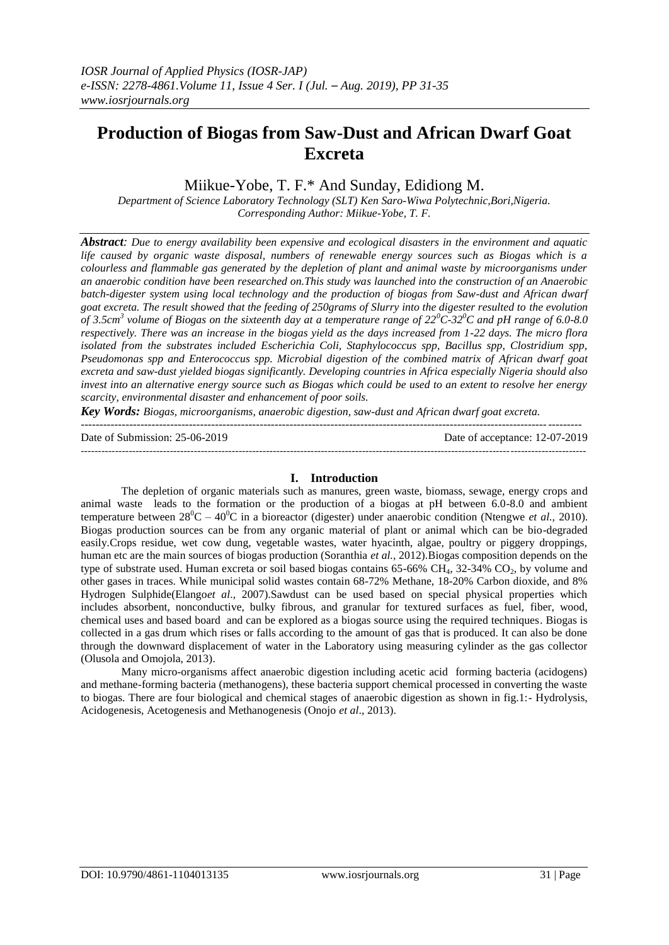# **Production of Biogas from Saw-Dust and African Dwarf Goat Excreta**

Miikue-Yobe, T. F.\* And Sunday, Edidiong M.

*Department of Science Laboratory Technology (SLT) Ken Saro-Wiwa Polytechnic,Bori,Nigeria. Corresponding Author: Miikue-Yobe, T. F.*

*Abstract: Due to energy availability been expensive and ecological disasters in the environment and aquatic life caused by organic waste disposal, numbers of renewable energy sources such as Biogas which is a colourless and flammable gas generated by the depletion of plant and animal waste by microorganisms under an anaerobic condition have been researched on.This study was launched into the construction of an Anaerobic batch-digester system using local technology and the production of biogas from Saw-dust and African dwarf goat excreta. The result showed that the feeding of 250grams of Slurry into the digester resulted to the evolution of 3.5cm<sup>3</sup> volume of Biogas on the sixteenth day at a temperature range of 22<sup>0</sup>C-32<sup>0</sup>C and pH range of 6.0-8.0 respectively. There was an increase in the biogas yield as the days increased from 1-22 days. The micro flora isolated from the substrates included Escherichia Coli, Staphylococcus spp, Bacillus spp, Clostridium spp, Pseudomonas spp and Enterococcus spp. Microbial digestion of the combined matrix of African dwarf goat excreta and saw-dust yielded biogas significantly. Developing countries in Africa especially Nigeria should also invest into an alternative energy source such as Biogas which could be used to an extent to resolve her energy scarcity, environmental disaster and enhancement of poor soils.*

*Key Words: Biogas, microorganisms, anaerobic digestion, saw-dust and African dwarf goat excreta.* --------------------------------------------------------------------------------------------------------------------------------------

Date of Submission: 25-06-2019 Date of acceptance: 12-07-2019

### **I. Introduction**

---------------------------------------------------------------------------------------------------------------------------------------------------

The depletion of organic materials such as manures, green waste, biomass, sewage, energy crops and animal waste leads to the formation or the production of a biogas at pH between 6.0-8.0 and ambient temperature between  $28^0C - 40^0C$  in a bioreactor (digester) under anaerobic condition (Ntengwe *et al.*, 2010). Biogas production sources can be from any organic material of plant or animal which can be bio-degraded easily.Crops residue, wet cow dung, vegetable wastes, water hyacinth, algae, poultry or piggery droppings, human etc are the main sources of biogas production (Soranthia *et al.,* 2012).Biogas composition depends on the type of substrate used. Human excreta or soil based biogas contains  $65-66\% \text{ CH}_4$ ,  $32-34\% \text{ CO}_2$ , by volume and other gases in traces. While municipal solid wastes contain 68-72% Methane, 18-20% Carbon dioxide, and 8% Hydrogen Sulphide(Elango*et al*., 2007).Sawdust can be used based on special physical properties which includes absorbent, nonconductive, bulky fibrous, and granular for textured surfaces as fuel, fiber, wood, chemical uses and based board and can be explored as a biogas source using the required techniques. Biogas is collected in a gas drum which rises or falls according to the amount of gas that is produced. It can also be done through the downward displacement of water in the Laboratory using measuring cylinder as the gas collector (Olusola and Omojola, 2013).

Many micro-organisms affect anaerobic digestion including acetic acid forming bacteria (acidogens) and methane-forming bacteria (methanogens), these bacteria support chemical processed in converting the waste to biogas. There are four biological and chemical stages of anaerobic digestion as shown in fig.1:- Hydrolysis, Acidogenesis, Acetogenesis and Methanogenesis (Onojo *et al*., 2013).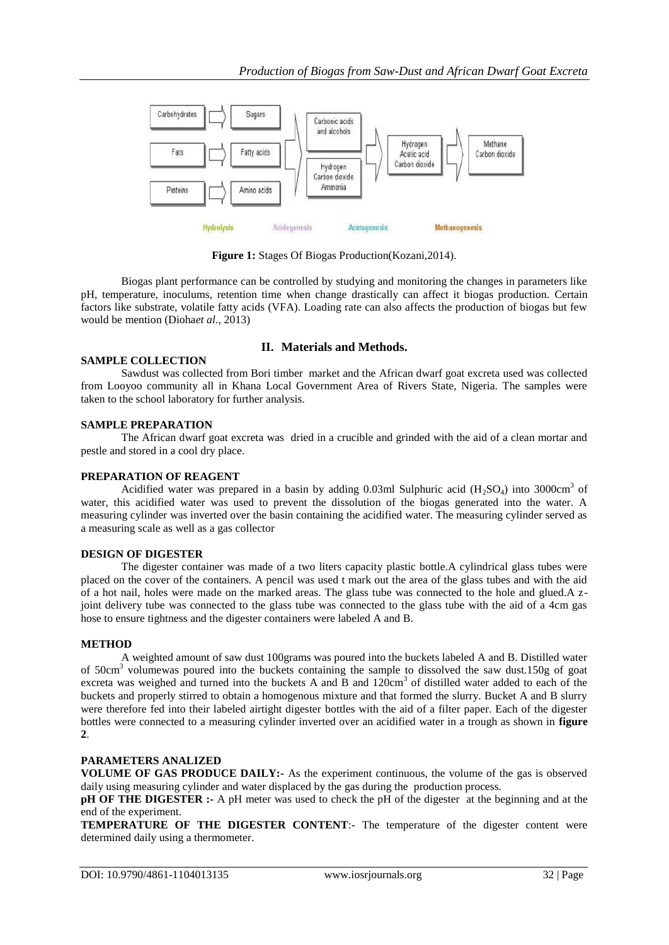

**Figure 1:** Stages Of Biogas Production(Kozani,2014).

Biogas plant performance can be controlled by studying and monitoring the changes in parameters like pH, temperature, inoculums, retention time when change drastically can affect it biogas production. Certain factors like substrate, volatile fatty acids (VFA). Loading rate can also affects the production of biogas but few would be mention (Dioha*et al.,* 2013)

## **SAMPLE COLLECTION**

## **II. Materials and Methods.**

Sawdust was collected from Bori timber market and the African dwarf goat excreta used was collected from Looyoo community all in Khana Local Government Area of Rivers State, Nigeria. The samples were taken to the school laboratory for further analysis.

### **SAMPLE PREPARATION**

The African dwarf goat excreta was dried in a crucible and grinded with the aid of a clean mortar and pestle and stored in a cool dry place.

### **PREPARATION OF REAGENT**

Acidified water was prepared in a basin by adding 0.03ml Sulphuric acid  $(H_2SO_4)$  into 3000cm<sup>3</sup> of water, this acidified water was used to prevent the dissolution of the biogas generated into the water. A measuring cylinder was inverted over the basin containing the acidified water. The measuring cylinder served as a measuring scale as well as a gas collector

# **DESIGN OF DIGESTER**

The digester container was made of a two liters capacity plastic bottle.A cylindrical glass tubes were placed on the cover of the containers. A pencil was used t mark out the area of the glass tubes and with the aid of a hot nail, holes were made on the marked areas. The glass tube was connected to the hole and glued.A zjoint delivery tube was connected to the glass tube was connected to the glass tube with the aid of a 4cm gas hose to ensure tightness and the digester containers were labeled A and B.

### **METHOD**

A weighted amount of saw dust 100grams was poured into the buckets labeled A and B. Distilled water of  $50 \text{cm}^3$  volumewas poured into the buckets containing the sample to dissolved the saw dust.150g of goat excreta was weighed and turned into the buckets A and B and  $120 \text{cm}^3$  of distilled water added to each of the buckets and properly stirred to obtain a homogenous mixture and that formed the slurry. Bucket A and B slurry were therefore fed into their labeled airtight digester bottles with the aid of a filter paper. Each of the digester bottles were connected to a measuring cylinder inverted over an acidified water in a trough as shown in **figure 2**.

# **PARAMETERS ANALIZED**

**VOLUME OF GAS PRODUCE DAILY:-** As the experiment continuous, the volume of the gas is observed daily using measuring cylinder and water displaced by the gas during the production process.

**pH OF THE DIGESTER :-** A pH meter was used to check the pH of the digester at the beginning and at the end of the experiment.

**TEMPERATURE OF THE DIGESTER CONTENT**:- The temperature of the digester content were determined daily using a thermometer.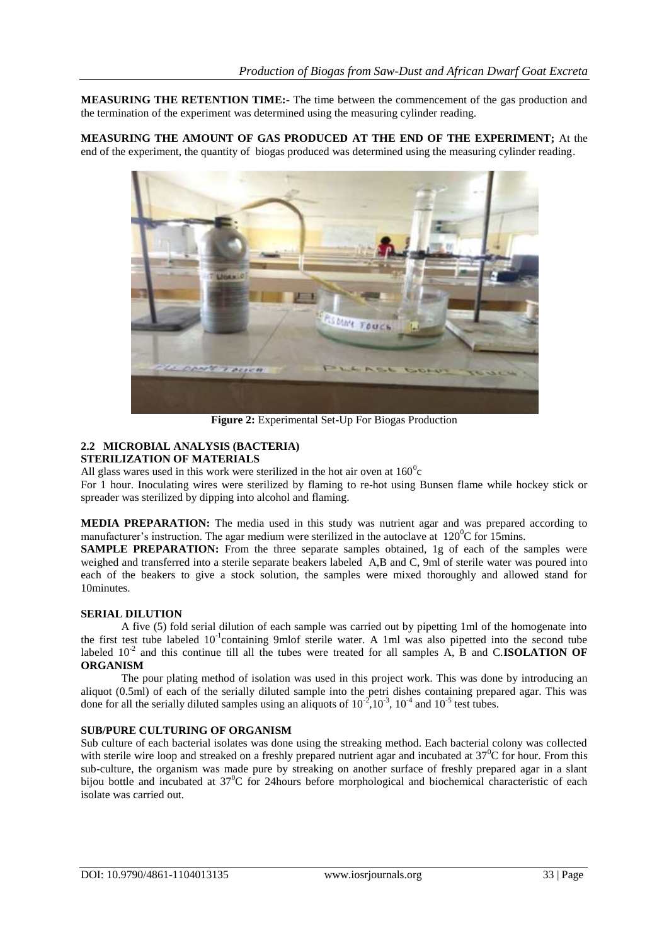**MEASURING THE RETENTION TIME:**- The time between the commencement of the gas production and the termination of the experiment was determined using the measuring cylinder reading.

**MEASURING THE AMOUNT OF GAS PRODUCED AT THE END OF THE EXPERIMENT;** At the end of the experiment, the quantity of biogas produced was determined using the measuring cylinder reading.



**Figure 2:** Experimental Set-Up For Biogas Production

#### **2.2 MICROBIAL ANALYSIS (BACTERIA) STERILIZATION OF MATERIALS**

All glass wares used in this work were sterilized in the hot air oven at  $160^{\circ}$ c

For 1 hour. Inoculating wires were sterilized by flaming to re-hot using Bunsen flame while hockey stick or spreader was sterilized by dipping into alcohol and flaming.

**MEDIA PREPARATION:** The media used in this study was nutrient agar and was prepared according to manufacturer's instruction. The agar medium were sterilized in the autoclave at  $120^{\circ}$ C for 15mins.

SAMPLE PREPARATION: From the three separate samples obtained, 1g of each of the samples were weighed and transferred into a sterile separate beakers labeled A,B and C, 9ml of sterile water was poured into each of the beakers to give a stock solution, the samples were mixed thoroughly and allowed stand for 10minutes.

# **SERIAL DILUTION**

A five (5) fold serial dilution of each sample was carried out by pipetting 1ml of the homogenate into the first test tube labeled 10<sup>-1</sup>containing 9mlof sterile water. A 1ml was also pipetted into the second tube labeled  $10^{-2}$  and this continue till all the tubes were treated for all samples A, B and C.**ISOLATION OF ORGANISM**

The pour plating method of isolation was used in this project work. This was done by introducing an aliquot (0.5ml) of each of the serially diluted sample into the petri dishes containing prepared agar. This was done for all the serially diluted samples using an aliquots of  $10^{-2}$ ,  $10^{-3}$ ,  $10^{-4}$  and  $10^{-5}$  test tubes.

# **SUB/PURE CULTURING OF ORGANISM**

Sub culture of each bacterial isolates was done using the streaking method. Each bacterial colony was collected with sterile wire loop and streaked on a freshly prepared nutrient agar and incubated at  $37^{\circ}$ C for hour. From this sub-culture, the organism was made pure by streaking on another surface of freshly prepared agar in a slant bijou bottle and incubated at  $37^{\circ}$ C for 24hours before morphological and biochemical characteristic of each isolate was carried out.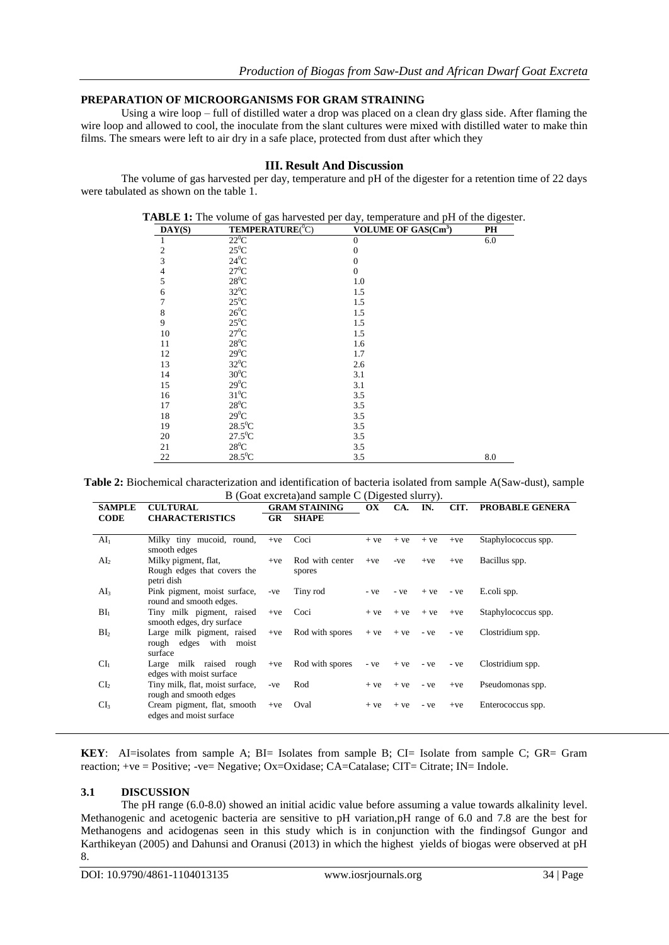## **PREPARATION OF MICROORGANISMS FOR GRAM STRAINING**

Using a wire loop – full of distilled water a drop was placed on a clean dry glass side. After flaming the wire loop and allowed to cool, the inoculate from the slant cultures were mixed with distilled water to make thin films. The smears were left to air dry in a safe place, protected from dust after which they

# **III. Result And Discussion**

The volume of gas harvested per day, temperature and pH of the digester for a retention time of 22 days were tabulated as shown on the table 1.

| DAY(S)       | <b>TEMPERATURE</b> (°C) | <b>VOLUME OF GAS(Cm<sup>3</sup>)</b> | PH  |  |  |
|--------------|-------------------------|--------------------------------------|-----|--|--|
| 1            | $22^0C$                 | $\theta$                             | 6.0 |  |  |
| $\mathbf{2}$ | $25^0C$                 | $\overline{0}$                       |     |  |  |
| 3            | $24^0$ C                | $\overline{0}$                       |     |  |  |
| 4            | $27^0C$                 | $\overline{0}$                       |     |  |  |
| 5            | $28^0$ C                | 1.0                                  |     |  |  |
| 6            | $32^0C$                 | 1.5                                  |     |  |  |
| 7            | $25^0C$                 | 1.5                                  |     |  |  |
| 8            | $26^0$ C                | 1.5                                  |     |  |  |
| 9            | $25^0C$                 | 1.5                                  |     |  |  |
| 10           | $27^0$ C                | 1.5                                  |     |  |  |
| 11           | $28^0C$                 | 1.6                                  |     |  |  |
| 12           | $29^0C$                 | 1.7                                  |     |  |  |
| 13           | $32^0C$                 | 2.6                                  |     |  |  |
| 14           | $30^0$ C                | 3.1                                  |     |  |  |
| 15           | $29^0C$                 | 3.1                                  |     |  |  |
| 16           | $31^0$ C                | 3.5                                  |     |  |  |
| 17           | $28^0C$                 | 3.5                                  |     |  |  |
| 18           | $29^0C$                 | 3.5                                  |     |  |  |
| 19           | $28.5^0C$               | 3.5                                  |     |  |  |
| 20           | $27.5^{\circ}$ C        | 3.5                                  |     |  |  |
| 21           | $28^0C$                 | 3.5                                  |     |  |  |
| 22           | $28.5^0C$               | 3.5                                  | 8.0 |  |  |

**TABLE 1:** The volume of gas harvested per day, temperature and pH of the digester.

**Table 2:** Biochemical characterization and identification of bacteria isolated from sample A(Saw-dust), sample B (Goat excreta)and sample C (Digested slurry).

| <b>SAMPLE</b>   | <b>CULTURAL</b>                           |           | <b>GRAM STAINING</b> |       | CA.   | IN.   | CIT.  | <b>PROBABLE GENERA</b> |
|-----------------|-------------------------------------------|-----------|----------------------|-------|-------|-------|-------|------------------------|
| <b>CODE</b>     | <b>CHARACTERISTICS</b>                    | <b>GR</b> | <b>SHAPE</b>         |       |       |       |       |                        |
|                 |                                           |           |                      |       |       |       |       |                        |
| AI <sub>1</sub> | Milky tiny mucoid, round,<br>smooth edges | $+ve$     | Coci                 | $+ve$ | $+ve$ | $+ve$ | $+ve$ | Staphylococcus spp.    |
| AI <sub>2</sub> | Milky pigment, flat,                      | $+ve$     | Rod with center      | $+ve$ | -ve   | $+ve$ | $+ve$ | Bacillus spp.          |
|                 | Rough edges that covers the<br>petri dish |           | spores               |       |       |       |       |                        |
| AI <sub>3</sub> | Pink pigment, moist surface,              | -ve       | Tiny rod             | - ve  | - ve  | $+ve$ | - ve  | E.coli spp.            |
|                 | round and smooth edges.                   |           |                      |       |       |       |       |                        |
| BI <sub>1</sub> | Tiny milk pigment, raised                 | $+ve$     | Coci                 | $+ve$ | $+ve$ | $+ve$ | $+ve$ | Staphylococcus spp.    |
|                 | smooth edges, dry surface                 |           |                      |       |       |       |       |                        |
| BI <sub>2</sub> | Large milk pigment, raised                | $+ve$     | Rod with spores      | $+ve$ | $+ve$ | - ve  | - ve  | Clostridium spp.       |
|                 | rough edges with moist<br>surface         |           |                      |       |       |       |       |                        |
| CI <sub>1</sub> | Large milk raised rough                   | $+ve$     | Rod with spores      | - ve  | $+ve$ | - ve  | - ve  | Clostridium spp.       |
|                 | edges with moist surface                  |           |                      |       |       |       |       |                        |
| CL <sub>2</sub> | Tiny milk, flat, moist surface,           | -ve       | Rod                  | $+ve$ | $+ve$ | - ve  | $+ve$ | Pseudomonas spp.       |
|                 | rough and smooth edges                    |           |                      |       |       |       |       |                        |
| CI <sub>3</sub> | Cream pigment, flat, smooth               | $+ve$     | Oval                 | $+ve$ | $+ve$ | - ve  | $+ve$ | Enterococcus spp.      |
|                 | edges and moist surface                   |           |                      |       |       |       |       |                        |
|                 |                                           |           |                      |       |       |       |       |                        |

**KEY**: AI=isolates from sample A; BI= Isolates from sample B; CI= Isolate from sample C; GR= Gram reaction; +ve = Positive; -ve= Negative; Ox=Oxidase; CA=Catalase; CIT= Citrate; IN= Indole.

# **3.1 DISCUSSION**

The pH range (6.0-8.0) showed an initial acidic value before assuming a value towards alkalinity level. Methanogenic and acetogenic bacteria are sensitive to pH variation,pH range of 6.0 and 7.8 are the best for Methanogens and acidogenas seen in this study which is in conjunction with the findingsof Gungor and Karthikeyan (2005) and Dahunsi and Oranusi (2013) in which the highest yields of biogas were observed at pH 8.